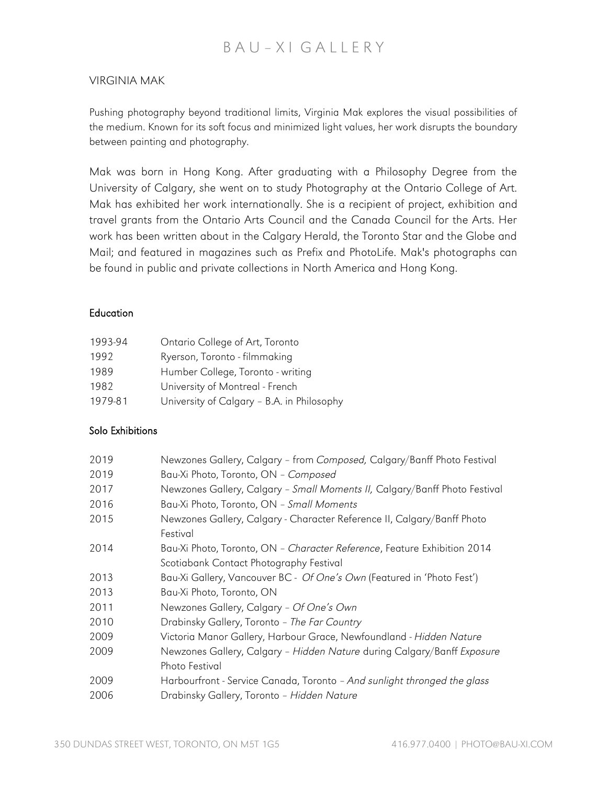### $BAU-XIGAIIFRY$

#### VIRGINIA MAK

Pushing photography beyond traditional limits, Virginia Mak explores the visual possibilities of the medium. Known for its soft focus and minimized light values, her work disrupts the boundary between painting and photography.

Mak was born in Hong Kong. After graduating with a Philosophy Degree from the University of Calgary, she went on to study Photography at the Ontario College of Art. Mak has exhibited her work internationally. She is a recipient of project, exhibition and travel grants from the Ontario Arts Council and the Canada Council for the Arts. Her work has been written about in the Calgary Herald, the Toronto Star and the Globe and Mail; and featured in magazines such as Prefix and PhotoLife. Mak's photographs can be found in public and private collections in North America and Hong Kong.

#### Education

| 1993-94 | Ontario College of Art, Toronto            |
|---------|--------------------------------------------|
| 1992    | Ryerson, Toronto - filmmaking              |
| 1989    | Humber College, Toronto - writing          |
| 1982    | University of Montreal - French            |
| 1979-81 | University of Calgary - B.A. in Philosophy |

### Solo Exhibitions

| 2019 | Newzones Gallery, Calgary - from Composed, Calgary/Banff Photo Festival    |
|------|----------------------------------------------------------------------------|
| 2019 | Bau-Xi Photo, Toronto, ON - Composed                                       |
| 2017 | Newzones Gallery, Calgary - Small Moments II, Calgary/Banff Photo Festival |
| 2016 | Bau-Xi Photo, Toronto, ON - Small Moments                                  |
| 2015 | Newzones Gallery, Calgary - Character Reference II, Calgary/Banff Photo    |
|      | Festival                                                                   |
| 2014 | Bau-Xi Photo, Toronto, ON - Character Reference, Feature Exhibition 2014   |
|      | Scotiabank Contact Photography Festival                                    |
| 2013 | Bau-Xi Gallery, Vancouver BC - Of One's Own (Featured in 'Photo Fest')     |
| 2013 | Bau-Xi Photo, Toronto, ON                                                  |
| 2011 | Newzones Gallery, Calgary - Of One's Own                                   |
| 2010 | Drabinsky Gallery, Toronto - The Far Country                               |
| 2009 | Victoria Manor Gallery, Harbour Grace, Newfoundland - Hidden Nature        |
| 2009 | Newzones Gallery, Calgary - Hidden Nature during Calgary/Banff Exposure    |
|      | Photo Festival                                                             |
| 2009 | Harbourfront - Service Canada, Toronto - And sunlight thronged the glass   |
| 2006 | Drabinsky Gallery, Toronto - Hidden Nature                                 |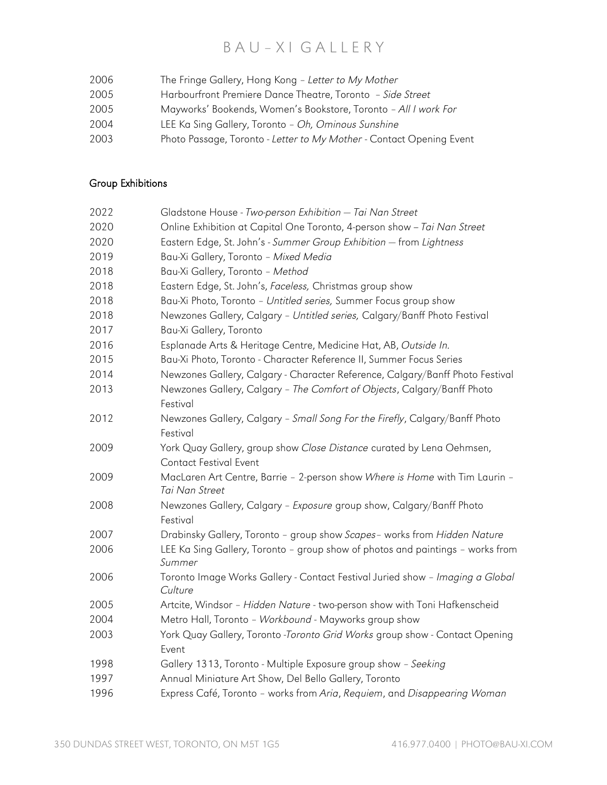- 2006 The Fringe Gallery, Hong Kong Letter to My Mother
- Harbourfront Premiere Dance Theatre, Toronto Side Street
- Mayworks' Bookends, Women's Bookstore, Toronto All I work For
- LEE Ka Sing Gallery, Toronto Oh, Ominous Sunshine
- 2003 Photo Passage, Toronto Letter to My Mother Contact Opening Event

### Group Exhibitions

| 2022 | Gladstone House - Two-person Exhibition - Tai Nan Street                                      |
|------|-----------------------------------------------------------------------------------------------|
| 2020 | Online Exhibition at Capital One Toronto, 4-person show - Tai Nan Street                      |
| 2020 | Eastern Edge, St. John's - Summer Group Exhibition - from Lightness                           |
| 2019 | Bau-Xi Gallery, Toronto - Mixed Media                                                         |
| 2018 | Bau-Xi Gallery, Toronto - Method                                                              |
| 2018 | Eastern Edge, St. John's, Faceless, Christmas group show                                      |
| 2018 | Bau-Xi Photo, Toronto - Untitled series, Summer Focus group show                              |
| 2018 | Newzones Gallery, Calgary - Untitled series, Calgary/Banff Photo Festival                     |
| 2017 | Bau-Xi Gallery, Toronto                                                                       |
| 2016 | Esplanade Arts & Heritage Centre, Medicine Hat, AB, Outside In.                               |
| 2015 | Bau-Xi Photo, Toronto - Character Reference II, Summer Focus Series                           |
| 2014 | Newzones Gallery, Calgary - Character Reference, Calgary/Banff Photo Festival                 |
| 2013 | Newzones Gallery, Calgary - The Comfort of Objects, Calgary/Banff Photo                       |
|      | Festival                                                                                      |
| 2012 | Newzones Gallery, Calgary - Small Song For the Firefly, Calgary/Banff Photo                   |
|      | Festival                                                                                      |
| 2009 | York Quay Gallery, group show Close Distance curated by Lena Oehmsen,                         |
|      | <b>Contact Festival Event</b>                                                                 |
| 2009 | MacLaren Art Centre, Barrie - 2-person show Where is Home with Tim Laurin -<br>Tai Nan Street |
| 2008 | Newzones Gallery, Calgary - Exposure group show, Calgary/Banff Photo<br>Festival              |
| 2007 | Drabinsky Gallery, Toronto - group show Scapes- works from Hidden Nature                      |
| 2006 | LEE Ka Sing Gallery, Toronto - group show of photos and paintings - works from<br>Summer      |
| 2006 | Toronto Image Works Gallery - Contact Festival Juried show - Imaging a Global<br>Culture      |
| 2005 | Artcite, Windsor - Hidden Nature - two-person show with Toni Hafkenscheid                     |
| 2004 | Metro Hall, Toronto - Workbound - Mayworks group show                                         |
| 2003 | York Quay Gallery, Toronto -Toronto Grid Works group show - Contact Opening<br>Event          |
| 1998 | Gallery 1313, Toronto - Multiple Exposure group show - Seeking                                |
| 1997 | Annual Miniature Art Show, Del Bello Gallery, Toronto                                         |
| 1996 | Express Café, Toronto - works from Aria, Requiem, and Disappearing Woman                      |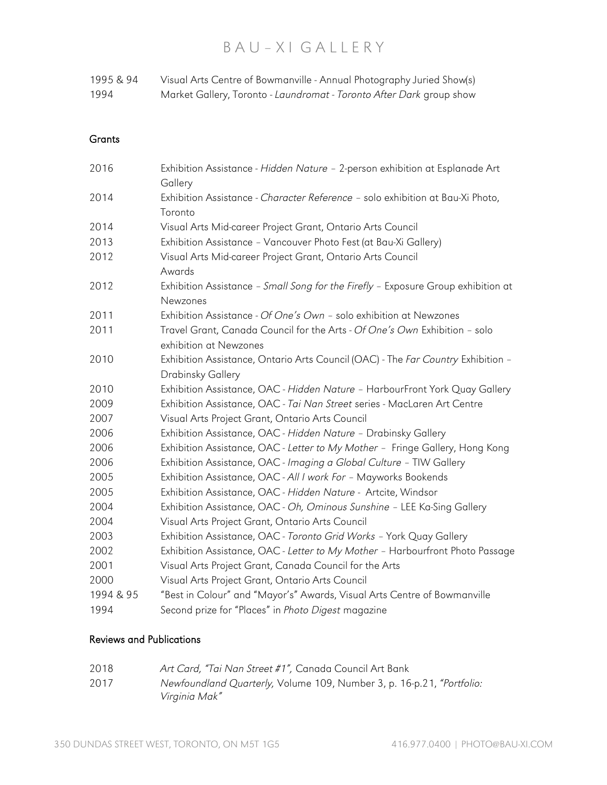| 1995 & 94 | Visual Arts Centre of Bowmanville - Annual Photography Juried Show(s) |
|-----------|-----------------------------------------------------------------------|
| 1994      | Market Gallery, Toronto - Laundromat - Toronto After Dark group show  |

### **Grants**

| 2016      | Exhibition Assistance - Hidden Nature - 2-person exhibition at Esplanade Art<br>Gallery       |
|-----------|-----------------------------------------------------------------------------------------------|
| 2014      | Exhibition Assistance - Character Reference - solo exhibition at Bau-Xi Photo,<br>Toronto     |
| 2014      | Visual Arts Mid-career Project Grant, Ontario Arts Council                                    |
| 2013      | Exhibition Assistance - Vancouver Photo Fest (at Bau-Xi Gallery)                              |
| 2012      | Visual Arts Mid-career Project Grant, Ontario Arts Council                                    |
|           | Awards                                                                                        |
| 2012      | Exhibition Assistance - Small Song for the Firefly - Exposure Group exhibition at<br>Newzones |
| 2011      | Exhibition Assistance - Of One's Own - solo exhibition at Newzones                            |
| 2011      | Travel Grant, Canada Council for the Arts - Of One's Own Exhibition - solo                    |
|           | exhibition at Newzones                                                                        |
| 2010      | Exhibition Assistance, Ontario Arts Council (OAC) - The Far Country Exhibition -              |
|           | Drabinsky Gallery                                                                             |
| 2010      | Exhibition Assistance, OAC - Hidden Nature - HarbourFront York Quay Gallery                   |
| 2009      | Exhibition Assistance, OAC - Tai Nan Street series - MacLaren Art Centre                      |
| 2007      | Visual Arts Project Grant, Ontario Arts Council                                               |
| 2006      | Exhibition Assistance, OAC - Hidden Nature - Drabinsky Gallery                                |
| 2006      | Exhibition Assistance, OAC - Letter to My Mother - Fringe Gallery, Hong Kong                  |
| 2006      | Exhibition Assistance, OAC - Imaging a Global Culture - TIW Gallery                           |
| 2005      | Exhibition Assistance, OAC - All I work For - Mayworks Bookends                               |
| 2005      | Exhibition Assistance, OAC - Hidden Nature - Artcite, Windsor                                 |
| 2004      | Exhibition Assistance, OAC - Oh, Ominous Sunshine - LEE Ka-Sing Gallery                       |
| 2004      | Visual Arts Project Grant, Ontario Arts Council                                               |
| 2003      | Exhibition Assistance, OAC - Toronto Grid Works - York Quay Gallery                           |
| 2002      | Exhibition Assistance, OAC - Letter to My Mother - Harbourfront Photo Passage                 |
| 2001      | Visual Arts Project Grant, Canada Council for the Arts                                        |
| 2000      | Visual Arts Project Grant, Ontario Arts Council                                               |
| 1994 & 95 | "Best in Colour" and "Mayor's" Awards, Visual Arts Centre of Bowmanville                      |
| 1994      | Second prize for "Places" in Photo Digest magazine                                            |

### Reviews and Publications

| 2018 |  |  |  | Art Card, "Tai Nan Street #1", Canada Council Art Bank |  |
|------|--|--|--|--------------------------------------------------------|--|
|------|--|--|--|--------------------------------------------------------|--|

2017 Newfoundland Quarterly, Volume 109, Number 3, p. 16-p.21, "Portfolio: Virginia Mak"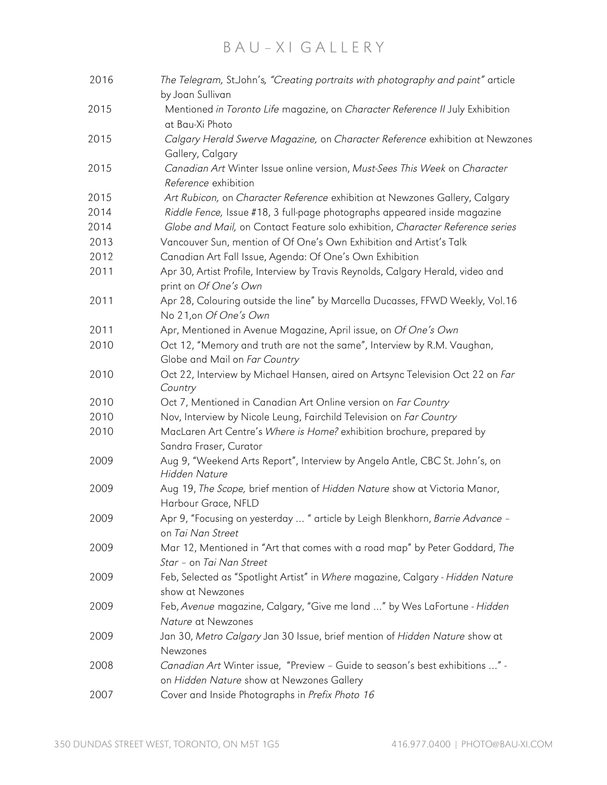| 2016 | The Telegram, St.John's, "Creating portraits with photography and paint" article<br>by Joan Sullivan     |
|------|----------------------------------------------------------------------------------------------------------|
| 2015 | Mentioned in Toronto Life magazine, on Character Reference II July Exhibition                            |
|      | at Bau-Xi Photo                                                                                          |
| 2015 | Calgary Herald Swerve Magazine, on Character Reference exhibition at Newzones<br>Gallery, Calgary        |
| 2015 | Canadian Art Winter Issue online version, Must-Sees This Week on Character                               |
|      | Reference exhibition                                                                                     |
| 2015 | Art Rubicon, on Character Reference exhibition at Newzones Gallery, Calgary                              |
| 2014 | Riddle Fence, Issue #18, 3 full-page photographs appeared inside magazine                                |
| 2014 | Globe and Mail, on Contact Feature solo exhibition, Character Reference series                           |
| 2013 | Vancouver Sun, mention of Of One's Own Exhibition and Artist's Talk                                      |
| 2012 | Canadian Art Fall Issue, Agenda: Of One's Own Exhibition                                                 |
| 2011 | Apr 30, Artist Profile, Interview by Travis Reynolds, Calgary Herald, video and<br>print on Of One's Own |
| 2011 | Apr 28, Colouring outside the line" by Marcella Ducasses, FFWD Weekly, Vol.16<br>No 21, on Of One's Own  |
| 2011 | Apr, Mentioned in Avenue Magazine, April issue, on Of One's Own                                          |
| 2010 | Oct 12, "Memory and truth are not the same", Interview by R.M. Vaughan,                                  |
|      | Globe and Mail on Far Country                                                                            |
| 2010 | Oct 22, Interview by Michael Hansen, aired on Artsync Television Oct 22 on Far<br>Country                |
| 2010 | Oct 7, Mentioned in Canadian Art Online version on Far Country                                           |
| 2010 | Nov, Interview by Nicole Leung, Fairchild Television on Far Country                                      |
| 2010 | MacLaren Art Centre's Where is Home? exhibition brochure, prepared by                                    |
|      | Sandra Fraser, Curator                                                                                   |
| 2009 | Aug 9, "Weekend Arts Report", Interview by Angela Antle, CBC St. John's, on<br>Hidden Nature             |
| 2009 | Aug 19, The Scope, brief mention of Hidden Nature show at Victoria Manor,<br>Harbour Grace, NFLD         |
| 2009 | Apr 9, "Focusing on yesterday  " article by Leigh Blenkhorn, Barrie Advance -<br>on Tai Nan Street       |
| 2009 | Mar 12, Mentioned in "Art that comes with a road map" by Peter Goddard, The                              |
|      | Star - on Tai Nan Street                                                                                 |
| 2009 | Feb, Selected as "Spotlight Artist" in Where magazine, Calgary - Hidden Nature                           |
|      | show at Newzones                                                                                         |
| 2009 | Feb, Avenue magazine, Calgary, "Give me land " by Wes LaFortune - Hidden                                 |
|      | Nature at Newzones                                                                                       |
| 2009 | Jan 30, Metro Calgary Jan 30 Issue, brief mention of Hidden Nature show at                               |
|      | Newzones                                                                                                 |
| 2008 | Canadian Art Winter issue, "Preview - Guide to season's best exhibitions " -                             |
|      | on Hidden Nature show at Newzones Gallery                                                                |
| 2007 | Cover and Inside Photographs in Prefix Photo 16                                                          |
|      |                                                                                                          |